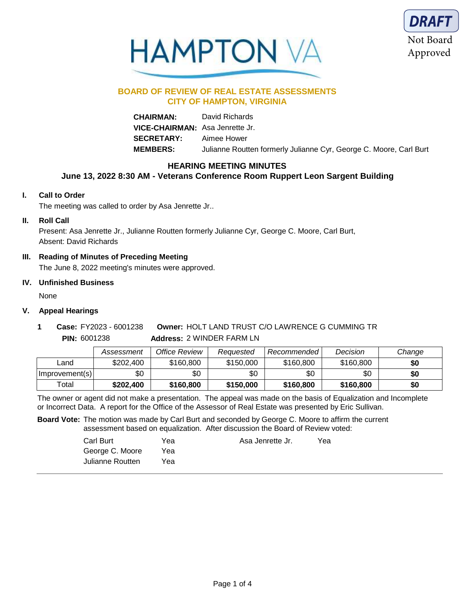



# **BOARD OF REVIEW OF REAL ESTATE ASSESSMENTS CITY OF HAMPTON, VIRGINIA**

**CHAIRMAN:** David Richards **VICE-CHAIRMAN:** Asa Jenrette Jr. **SECRETARY:** Aimee Hower **MEMBERS:** Julianne Routten formerly Julianne Cyr, George C. Moore, Carl Burt

# **HEARING MEETING MINUTES**

## **June 13, 2022 8:30 AM - Veterans Conference Room Ruppert Leon Sargent Building**

## **I. Call to Order**

The meeting was called to order by Asa Jenrette Jr..

## **II. Roll Call**

Present: Asa Jenrette Jr., Julianne Routten formerly Julianne Cyr, George C. Moore, Carl Burt, Absent: David Richards

## **III. Reading of Minutes of Preceding Meeting**

The June 8, 2022 meeting's minutes were approved.

## **IV. Unfinished Business**

None

## **V. Appeal Hearings**

**Address:** 2 WINDER FARM LN **Owner:** HOLT LAND TRUST C/O LAWRENCE G CUMMING TR **PIN:** 6001238 **1 Case:** FY2023 - 6001238

|                | Assessment | Office Review | Reauested | Recommended | Decision  | Change |
|----------------|------------|---------------|-----------|-------------|-----------|--------|
| _and           | \$202.400  | \$160,800     | \$150,000 | \$160.800   | \$160,800 | \$0    |
| Improvement(s) | \$0        | \$0           | \$0       | \$0         | \$0       | \$0    |
| Total          | \$202,400  | \$160,800     | \$150,000 | \$160,800   | \$160,800 | \$0    |

The owner or agent did not make a presentation. The appeal was made on the basis of Equalization and Incomplete or Incorrect Data. A report for the Office of the Assessor of Real Estate was presented by Eric Sullivan.

**Board Vote:** The motion was made by Carl Burt and seconded by George C. Moore to affirm the current assessment based on equalization. After discussion the Board of Review voted:

> Carl Burt George C. Moore Julianne Routten Yea Asa Jenrette Jr. Yea Yea Yea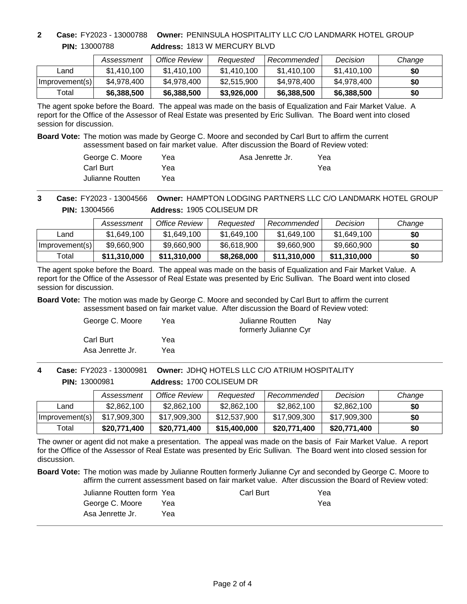**PIN:** 13000788

**Address:** 1813 W MERCURY BLVD **2 Case:** FY2023 - 13000788 **Owner:** PENINSULA HOSPITALITY LLC C/O LANDMARK HOTEL GROUP

|                | Assessment  | Office Review | Reauested   | Recommended I | Decision    | Change |
|----------------|-------------|---------------|-------------|---------------|-------------|--------|
| Land           | \$1,410,100 | \$1,410,100   | \$1,410,100 | \$1.410.100   | \$1,410,100 | \$0    |
| Improvement(s) | \$4,978,400 | \$4,978,400   | \$2,515,900 | \$4,978,400   | \$4,978,400 | \$0    |
| Total          | \$6,388,500 | \$6,388,500   | \$3,926,000 | \$6,388,500   | \$6,388,500 | \$0    |

The agent spoke before the Board. The appeal was made on the basis of Equalization and Fair Market Value. A report for the Office of the Assessor of Real Estate was presented by Eric Sullivan. The Board went into closed session for discussion.

**Board Vote:** The motion was made by George C. Moore and seconded by Carl Burt to affirm the current assessment based on fair market value. After discussion the Board of Review voted:

| George C. Moore  | Yea | Asa Jenrette Jr. | Yea |
|------------------|-----|------------------|-----|
| Carl Burt        | Yea |                  | Yea |
| Julianne Routten | Yea |                  |     |

**Address:** 1905 COLISEUM DR **Owner:** HAMPTON LODGING PARTNERS LLC C/O LANDMARK HOTEL GROUP **PIN:** 13004566 **3 Case:** FY2023 - 13004566

|                | Assessment   | Office Review | Reauested   | Recommended  | Decision     | Change |
|----------------|--------------|---------------|-------------|--------------|--------------|--------|
| Land           | \$1,649,100  | \$1,649,100   | \$1,649,100 | \$1,649,100  | \$1,649,100  | \$0    |
| Improvement(s) | \$9,660,900  | \$9,660,900   | \$6,618,900 | \$9,660,900  | \$9,660,900  | \$0    |
| Total          | \$11,310,000 | \$11,310,000  | \$8,268,000 | \$11,310,000 | \$11,310,000 | \$0    |

The agent spoke before the Board. The appeal was made on the basis of Equalization and Fair Market Value. A report for the Office of the Assessor of Real Estate was presented by Eric Sullivan. The Board went into closed session for discussion.

**Board Vote:** The motion was made by George C. Moore and seconded by Carl Burt to affirm the current assessment based on fair market value. After discussion the Board of Review voted:

| George C. Moore  | Yea | Julianne Routten<br>formerly Julianne Cyr | Nav |
|------------------|-----|-------------------------------------------|-----|
| Carl Burt        | Yea |                                           |     |
| Asa Jenrette Jr. | Yea |                                           |     |

**Address:** 1700 COLISEUM DR **Owner:** JDHQ HOTELS LLC C/O ATRIUM HOSPITALITY **PIN:** 13000981 **4 Case:** FY2023 - 13000981

|                | Assessment   | Office Review | Reauested    | Recommended  | Decision     | Change |
|----------------|--------------|---------------|--------------|--------------|--------------|--------|
| Land           | \$2,862,100  | \$2,862,100   | \$2,862,100  | \$2,862,100  | \$2,862,100  | \$0    |
| Improvement(s) | \$17,909,300 | \$17,909,300  | \$12,537,900 | \$17,909,300 | \$17,909,300 | \$0    |
| Total          | \$20,771,400 | \$20,771,400  | \$15,400,000 | \$20,771,400 | \$20,771,400 | \$0    |

The owner or agent did not make a presentation. The appeal was made on the basis of Fair Market Value. A report for the Office of the Assessor of Real Estate was presented by Eric Sullivan. The Board went into closed session for discussion.

**Board Vote:** The motion was made by Julianne Routten formerly Julianne Cyr and seconded by George C. Moore to affirm the current assessment based on fair market value. After discussion the Board of Review voted:

| Julianne Routten form Yeal |     | Carl Burt | Yea |
|----------------------------|-----|-----------|-----|
| George C. Moore            | Yea |           | Yea |
| Asa Jenrette Jr.           | Үеа |           |     |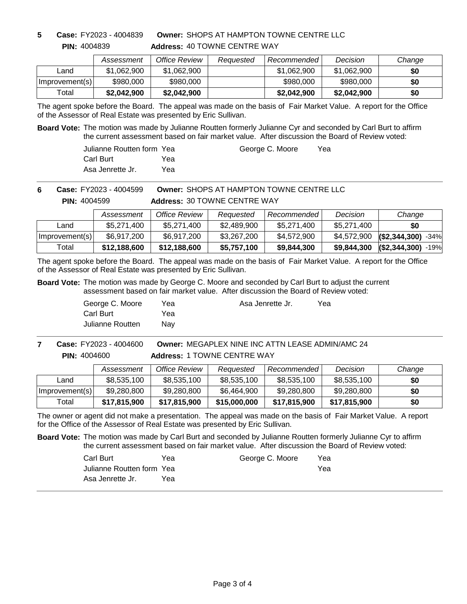**PIN:** 4004839 **5 Case:** FY2023 - 4004839 **Address:** 40 TOWNE CENTRE WAY **Owner:** SHOPS AT HAMPTON TOWNE CENTRE LLC

|                | Assessment  | Office Review | Reauested | Recommended | Decision    | Change |
|----------------|-------------|---------------|-----------|-------------|-------------|--------|
| Land           | \$1,062,900 | \$1,062,900   |           | \$1,062,900 | \$1,062,900 | \$0    |
| Improvement(s) | \$980,000   | \$980,000     |           | \$980,000   | \$980,000   | \$0    |
| Total          | \$2,042,900 | \$2,042,900   |           | \$2,042,900 | \$2,042,900 | \$0    |

The agent spoke before the Board. The appeal was made on the basis of Fair Market Value. A report for the Office of the Assessor of Real Estate was presented by Eric Sullivan.

**Board Vote:** The motion was made by Julianne Routten formerly Julianne Cyr and seconded by Carl Burt to affirm the current assessment based on fair market value. After discussion the Board of Review voted:

> Julianne Routten form Carl Burt Asa Jenrette Jr. Yea Yea

George C. Moore Yea

**Owner:** SHOPS AT HAMPTON TOWNE CENTRE LLC **6 Case:** FY2023 - 4004599

**PIN:** 4004599

**Address:** 30 TOWNE CENTRE WAY

|                | Assessment   | Office Review | Reauested   | Recommended | Decision    | Change                |
|----------------|--------------|---------------|-------------|-------------|-------------|-----------------------|
| Land           | \$5.271.400  | \$5,271,400   | \$2,489,900 | \$5.271.400 | \$5.271.400 | \$0                   |
| Improvement(s) | \$6,917,200  | \$6,917,200   | \$3,267,200 | \$4,572,900 | \$4,572,900 | $(S2, 344, 300)$ -34% |
| Total          | \$12,188,600 | \$12,188,600  | \$5,757,100 | \$9,844,300 | \$9,844,300 | $(S2, 344, 300)$ -19% |

The agent spoke before the Board. The appeal was made on the basis of Fair Market Value. A report for the Office of the Assessor of Real Estate was presented by Eric Sullivan.

**Board Vote:** The motion was made by George C. Moore and seconded by Carl Burt to adjust the current assessment based on fair market value. After discussion the Board of Review voted:

> George C. Moore Carl Burt Julianne Routten Yea Nay

Yea Asa Jenrette Jr. Yea

**Address:** 1 TOWNE CENTRE WAY **Owner:** MEGAPLEX NINE INC ATTN LEASE ADMIN/AMC 24 **PIN:** 4004600 **7 Case:** FY2023 - 4004600

|                | Assessment   | Office Review | Reauested    | Recommended  | Decision     | Change |
|----------------|--------------|---------------|--------------|--------------|--------------|--------|
| Land           | \$8,535,100  | \$8,535,100   | \$8,535,100  | \$8,535,100  | \$8,535,100  | \$0    |
| Improvement(s) | \$9,280,800  | \$9,280,800   | \$6,464,900  | \$9,280,800  | \$9,280,800  | \$0    |
| Total          | \$17,815,900 | \$17,815,900  | \$15,000,000 | \$17,815,900 | \$17,815,900 | \$0    |

The owner or agent did not make a presentation. The appeal was made on the basis of Fair Market Value. A report for the Office of the Assessor of Real Estate was presented by Eric Sullivan.

**Board Vote:** The motion was made by Carl Burt and seconded by Julianne Routten formerly Julianne Cyr to affirm the current assessment based on fair market value. After discussion the Board of Review voted:

| Carl Burt                 | Yea | George C. Moore | Yea |
|---------------------------|-----|-----------------|-----|
| Julianne Routten form Yea |     |                 | Yea |
| Asa Jenrette Jr.          | Yea |                 |     |